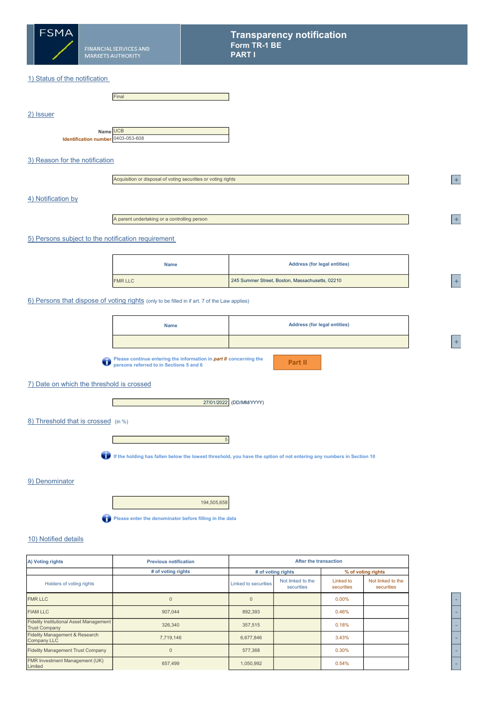

### 1) Status of the notification

|           |                                                | Final |
|-----------|------------------------------------------------|-------|
| 2) Issuer |                                                |       |
|           | Name UCB<br>Identification number 0403-053-608 |       |

## 3) Reason for the notification

| Acquisition or disposal of voting securities or voting rights |  |
|---------------------------------------------------------------|--|
|---------------------------------------------------------------|--|

#### 4) Notification by

A parent undertaking or a controlling person

#### 5) Persons subject to the notification requirement

| <b>Name</b>    | <b>Address (for legal entities)</b>             |             |
|----------------|-------------------------------------------------|-------------|
| <b>FMR LLC</b> | 245 Summer Street, Boston, Massachusetts, 02210 | <b>SHOP</b> |

#### 6) Persons that dispose of voting rights (only to be filled in if art. 7 of the Law applies)

| <b>Name</b> | <b>Address (for legal entities)</b> |
|-------------|-------------------------------------|
|             |                                     |
|             |                                     |

Please continue entering the information in *part II* concerning the persons referred to in Sections 5 and 6

Part II

# 7) Date on which the threshold is crossed

Г



### 8) Threshold that is crossed (in %)

If the holding has fallen below the lowest threshold, you have the option of not entering any numbers in Section 10

5

#### 9) Denominator

194,505,658 Please enter the denominator before filling in the data

## 10) Notified details

| A) Voting rights                                                       | <b>Previous notification</b> | After the transaction |                                 |                         |                                 |  |
|------------------------------------------------------------------------|------------------------------|-----------------------|---------------------------------|-------------------------|---------------------------------|--|
|                                                                        | # of voting rights           |                       | # of voting rights              |                         | % of voting rights              |  |
| Holders of voting rights                                               |                              | Linked to securities  | Not linked to the<br>securities | Linked to<br>securities | Not linked to the<br>securities |  |
| <b>FMR LLC</b>                                                         | 0                            | $\Omega$              |                                 | $0.00\%$                |                                 |  |
| <b>FIAM LLC</b>                                                        | 907,044                      | 892,393               |                                 | 0.46%                   |                                 |  |
| <b>Fidelity Institutional Asset Management</b><br><b>Trust Company</b> | 326,340                      | 357,515               |                                 | 0.18%                   |                                 |  |
| Fidelity Management & Research<br><b>Company LLC</b>                   | 7,719,146                    | 6,677,846             |                                 | 3.43%                   |                                 |  |
| <b>Fidelity Management Trust Company</b>                               | $\Omega$                     | 577,368               |                                 | 0.30%                   |                                 |  |
| <b>FMR Investment Management (UK)</b><br>Limited                       | 657,499                      | 1,050,992             |                                 | 0.54%                   |                                 |  |



 $+$ 

 $+$ 

 $\ddot{}$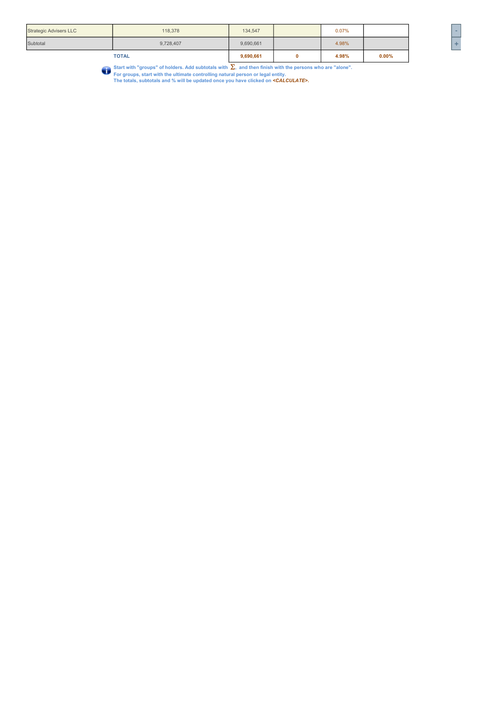| Subtotal<br>4.98%<br>9,690,661<br>9,728,407 |
|---------------------------------------------|
|---------------------------------------------|

Start with "groups" of holders. Add subtotals with Σ, and then finish with the persons who are "alone".<br>For groups, start with the ultimate controlling natural person or legal entity.<br>The totals, subtotals and % will be u